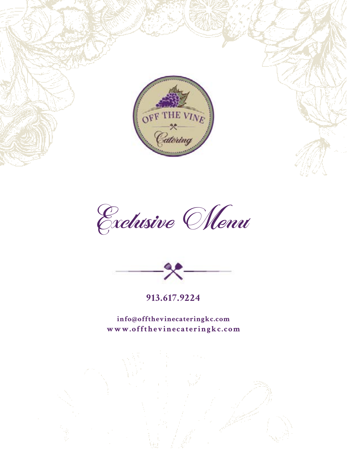

Exclusive Menu



**913.617.9224**

**info@offthevinecateringkc.com www.offthevinecateringkc.com**

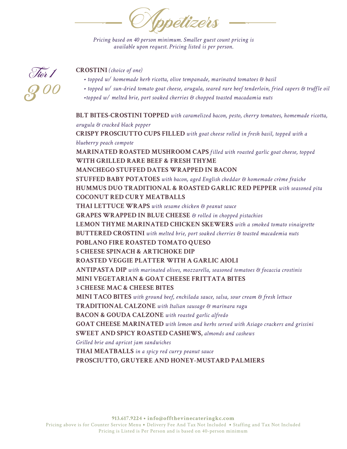Appetizers

*Pricing based on 40 person minimum. Smaller guest count pricing is available upon request. Pricing listed is per person.*



## **CROSTINI** *(choice of one)*

- *topped w/ homemade herb ricotta, olive tempanade, marinated tomatoes & basil*
- *topped w/ sun-dried tomato goat cheese, arugula, seared rare beef tenderloin, fried capers & truffle oil*
- *•topped w/ melted brie, port soaked cherries & chopped toasted macadamia nuts*

**BLT BITES-CROSTINI TOPPED** *with caramelized bacon, pesto, cherry tomatoes, homemade ricotta, arugula & cracked black pepper* **CRISPY PROSCIUTTO CUPS FILLED** *with goat cheese rolled in fresh basil, topped with a blueberry peach compote* **MARINATED ROASTED MUSHROOM CAPS** *filled with roasted garlic goat cheese, topped* **WITH GRILLED RARE BEEF & FRESH THYME MANCHEGO STUFFED DATES WRAPPED IN BACON STUFFED BABY POTATOES** *with bacon, aged English cheddar & homemade crème fraiche* **HUMMUS DUO TRADITIONAL & ROASTED GARLIC RED PEPPER** *with seasoned pita* **COCONUT RED CURY MEATBALLS THAI LETTUCE WRAPS** *with sesame chicken & peanut sauce* **GRAPES WRAPPED IN BLUE CHEESE** *& rolled in chopped pistachios* **LEMON THYME MARINATED CHICKEN SKEWERS** *with a smoked tomato vinaigrette* **BUTTERED CROSTINI** *with melted brie, port soaked cherries & toasted macademia nuts* **POBLANO FIRE ROASTED TOMATO QUESO 5 CHEESE SPINACH & ARTICHOKE DIP ROASTED VEGGIE PLATTER WITH A GARLIC AIOLI ANTIPASTA DIP** *with marinated olives, mozzarella, seasoned tomatoes & focaccia crostinis* **MINI VEGETARIAN & GOAT CHEESE FRITTATA BITES 3 CHEESE MAC & CHEESE BITES MINI TACO BITES** *with ground beef, enchilada sauce, salsa, sour cream & fresh lettuce* **TRADITIONAL CALZONE** *with Italian sausage & marinara ragu* **BACON & GOUDA CALZONE** *with roasted garlic alfredo* **GOAT CHEESE MARINATED** *with lemon and herbs served with Asiago crackers and grissini*  **SWEET AND SPICY ROASTED CASHEWS,** *almonds and cashews Grilled brie and apricot jam sandwiches* **THAI MEATBALLS** *in a spicy red curry peanut sauce* **PROSCIUTTO, GRUYERE AND HONEY-MUSTARD PALMIERS**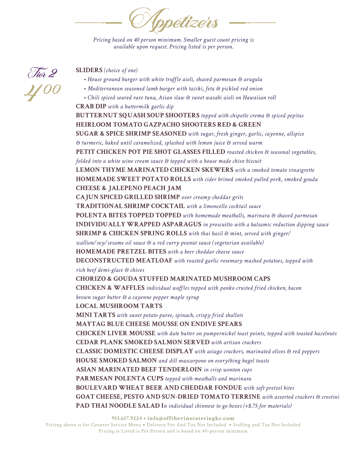Appetizers

*Pricing based on 40 person minimum. Smaller guest count pricing is available upon request. Pricing listed is per person.*



## **SLIDERS** *(choice of one)*

- *House ground burger with white truffle aioli, shaved parmesan & arugula*
- *Mediterranean seasoned lamb burger with taziki, feta & pickled red onion*
- *Chili spiced seared rare tuna, Asian slaw & sweet wasabi aioli on Hawaiian roll* **CRAB DIP** *with a buttermilk garlic dip*

**BUTTERNUT SQUASH SOUP SHOOTERS** *topped with chipotle crema & spiced pepitas* **HEIRLOOM TOMATO GAZPACHO SHOOTERS RED & GREEN SUGAR & SPICE SHRIMP SEASONED** *with sugar, fresh ginger, garlic, cayenne, allspice & turmeric, baked until caramelized, splashed with lemon juice & served warm* **PETIT CHICKEN POT PIE SHOT GLASSES FILLED** *roasted chicken & seasonal vegetables, folded into a white wine cream sauce & topped with a house made chive biscuit* **LEMON THYME MARINATED CHICKEN SKEWERS** *with a smoked tomato vinaigrette* **HOMEMADE SWEET POTATO ROLLS** *with cider brined smoked pulled pork, smoked gouda* **CHEESE & JALEPENO PEACH JAM CAJUN SPICED GRILLED SHRIMP** *over creamy cheddar grits* **TRADITIONAL SHRIMP COCKTAIL** *with a limoncello cocktail sauce* **POLENTA BITES TOPPED TOPPED** *with homemade meatballs, marinara & shaved parmesan* **INDIVIDUALLY WRAPPED ASPARAGUS** *in proscuitto with a balsamic reduction dipping sauce* **SHRIMP & CHICKEN SPRING ROLLS** *with thai basil & mint, served with ginger/ scallion/soy/sesame oil sauce & a red curry peanut sauce (vegetarian available)* **HOMEMADE PRETZEL BITES** *with a beer cheddar cheese sauce* **DECONSTRUCTED MEATLOAF** *with roasted garlic rosemary mashed potatoes, topped with rich beef demi-glace & chives* **CHORIZO & GOUDA STUFFED MARINATED MUSHROOM CAPS CHICKEN & WAFFLES** *individual waffles topped with panko crusted fried chicken, bacon brown sugar butter & a cayenne pepper maple syrup* **LOCAL MUSHROOM TARTS MINI TARTS** *with sweet potato puree, spinach, crispy fried shallots* **MAYTAG BLUE CHEESE MOUSSE ON ENDIVE SPEARS CHICKEN LIVER MOUSSE** *with date butter on pumpernickel toast points, topped with toasted hazelnuts* **CEDAR PLANK SMOKED SALMON SERVED** *with artisan crackers* **CLASSIC DOMESTIC CHEESE DISPLAY** *with asiago crackers, marinated olives & red peppers* **HOUSE SMOKED SALMON** *and dill mascarpone on everything bagel toasts* **ASIAN MARINATED BEEF TENDERLOIN** *in crisp wonton cups* **PARMESAN POLENTA CUPS** *topped with meatballs and marinara* **BOULEVARD WHEAT BEER AND CHEDDAR FONDUE** *with soft pretzel bites* **GOAT CHEESE, PESTO AND SUN-DRIED TOMATO TERRINE** *with assorted crackers & crostini* **PAD THAI NOODLE SALAD I***n individual chinnese to go boxes (+\$.75 for materials)*

**913.617.9224 • info@offthevinecateringkc.com** 

Pricing above is for Counter Service Menu **•** Delivery Fee And Tax Not Included **•** Staffing and Tax Not Included Pricing is Listed is Per Person and is based on 40-person minimum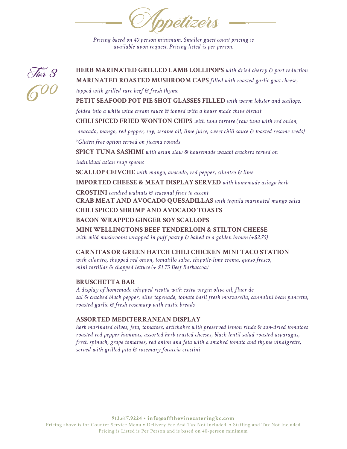Appetizers

*Pricing based on 40 person minimum. Smaller guest count pricing is available upon request. Pricing listed is per person.*



**MARINATED ROASTED MUSHROOM CAPS** *filled with roasted garlic goat cheese, topped with grilled rare beef & fresh thyme* **PETIT SEAFOOD POT PIE SHOT GLASSES FILLED** *with warm lobster and scallops, folded into a white wine cream sauce & topped with a house made chive biscuit* **CHILI SPICED FRIED WONTON CHIPS** *with tuna tartare (raw tuna with red onion, avacado, mango, red pepper, soy, sesame oil, lime juice, sweet chili sauce & toasted sesame seeds) \*Gluten free option served on jicama rounds* **SPICY TUNA SASHIMI** *with asian slaw & housemade wasabi crackers served on individual asian soup spoons* **SCALLOP CEIVCHE** *with mango, avocado, red pepper, cilantro & lime* **IMPORTED CHEESE & MEAT DISPLAY SERVED** *with homemade asiago herb*  **CROSTINI** *candied walnuts & seasonal fruit to accent* **CRAB MEAT AND AVOCADO QUESADILLAS** *with tequila marinated mango salsa* **CHILI SPICED SHRIMP AND AVOCADO TOASTS BACON WRAPPED GINGER SOY SCALLOPS MINI WELLINGTONS BEEF TENDERLOIN & STILTON CHEESE**  *with wild mushrooms wrapped in puff pastry & baked to a golden brown (+\$2.75)* **CARNITAS OR GREEN HATCH CHILI CHICKEN MINI TACO STATION**  *with cilantro, chopped red onion, tomatillo salsa, chipotle-lime crema, queso fresco, mini tortillas & chopped lettuce (+ \$1.75 Beef Barbaccoa)*

**HERB MARINATED GRILLED LAMB LOLLIPOPS** *with dried cherry & port reduction*

#### **BRUSCHETTA BAR**

*A display of homemade whipped ricotta with extra virgin olive oil, fluer de sal & cracked black pepper, olive tapenade, tomato basil fresh mozzarella, cannalini bean pancetta, roasted garlic & fresh rosemary with rustic breads*

## **ASSORTED MEDITERRANEAN DISPLAY**

*herb marinated olives, feta, tomatoes, artichokes with preserved lemon rinds & sun-dried tomatoes roasted red pepper hummus, assorted herb crusted cheeses, black lentil salad roasted asparagus, fresh spinach, grape tomatoes, red onion and feta with a smoked tomato and thyme vinaigrette, served with grilled pita & rosemary focaccia crostini*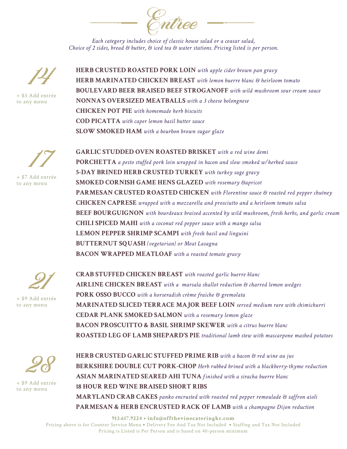Entree

*Each category includes choice of classic house salad or a ceasar salad, Choice of 2 sides, bread & butter, & iced tea & water stations. Pricing listed is per person.*



+ \$5 Add entrée to any menu

**HERB CRUSTED ROASTED PORK LOIN** *with apple cider brown pan gravy* **HERB MARINATED CHICKEN BREAST** *with lemon buerre blanc & heirloom tomato* **BOULEVARD BEER BRAISED BEEF STROGANOFF** *with wild mushroom sour cream sauce* **NONNA'S OVERSIZED MEATBALLS** *with a 3 cheese bolongnese* **CHICKEN POT PIE** *with homemade herb biscuits* **COD PICATTA** *with caper lemon basil butter sauce*  **SLOW SMOKED HAM** *with a bourbon brown sugar glaze*



+ \$7 Add entrée to any menu

**GARLIC STUDDED OVEN ROASTED BRISKET** *with a red wine demi* **PORCHETTA** *a pesto stuffed pork loin wrapped in bacon and slow smoked w/herbed sauce* **5-DAY BRINED HERB CRUSTED TURKEY** *with turkey sage gravy* **SMOKED CORNISH GAME HENS GLAZED** *with rosemary &apricot*  **PARMESAN CRUSTED ROASTED CHICKEN** *with Florentine sauce & roasted red pepper chutney* **CHICKEN CAPRESE** *wrapped with a mozzarella and prosciutto and a heirloom tomato salsa* **BEEF BOURGUIGNON** *with bourdeaux braised accented by wild mushroom, fresh herbs, and garlic cream*  **CHILI SPICED MAHI** *with a coconut red pepper sauce with a mango salsa*  **LEMON PEPPER SHRIMP SCAMPI** *with fresh basil and linguini*  **BUTTERNUT SQUASH** *(vegetarian) or Meat Lasagna* **BACON WRAPPED MEATLOAF** *with a roasted tomato gravy*



**CRAB STUFFED CHICKEN BREAST** *with roasted garlic buerre blanc* **AIRLINE CHICKEN BREAST** *with a marsala shallot reduction & charred lemon wedges* **PORK OSSO BUCCO** *with a horseradish crème fraiche & gremolata*  **MARINATED SLICED TERRACE MAJOR BEEF LOIN** *served medium rare with chimichurri*  **CEDAR PLANK SMOKED SALMON** *with a rosemary lemon glaze* **BACON PROSCUITTO & BASIL SHRIMP SKEWER** *with a citrus buerre blanc* **ROASTED LEG OF LAMB SHEPARD'S PIE** *traditional lamb stew with mascarpone mashed potatoes*



+ \$9 Add entrée to any menu

**HERB CRUSTED GARLIC STUFFED PRIME RIB** *with a bacon & red wine au jus* **BERKSHIRE DOUBLE CUT PORK-CHOP** *Herb rubbed brined with a blackberry-thyme reduction* **ASIAN MARINATED SEARED AHI TUNA** *finished with a siracha buerre blanc* **18 HOUR RED WINE BRAISED SHORT RIBS MARYLAND CRAB CAKES** *panko encrusted with roasted red pepper remoulade & saffron aioli* **PARMESAN & HERB ENCRUSTED RACK OF LAMB** *with a champagne Dijon reduction*

**913.617.9224 • info@offthevinecateringkc.com**  Pricing above is for Counter Service Menu **•** Delivery Fee And Tax Not Included **•** Staffing and Tax Not Included Pricing is Listed is Per Person and is based on 40-person minimum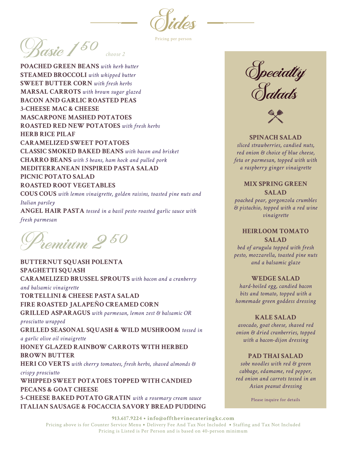*Oides* 

Pricing per person

 $\frac{2}{\sqrt{50}}$ *choose 2*

**POACHED GREEN BEANS** *with herb butter* **STEAMED BROCCOLI** *with whipped butter* **SWEET BUTTER CORN** *with fresh herbs* **MARSAL CARROTS** *with brown sugar glazed* **BACON AND GARLIC ROASTED PEAS 3-CHEESE MAC & CHEESE MASCARPONE MASHED POTATOES ROASTED RED NEW POTATOES** *with fresh herbs* **HERB RICE PILAF CARAMELIZED SWEET POTATOES CLASSIC SMOKED BAKED BEANS** *with bacon and brisket* **CHARRO BEANS** *with 5 beans, ham hock and pulled pork* **MEDITERRANEAN INSPIRED PASTA SALAD PICNIC POTATO SALAD ROASTED ROOT VEGETABLES COUS COUS** *with lemon vinaigrette, golden raisins, toasted pine nuts and Italian parsley*

**ANGEL HAIR PASTA** *tossed in a basil pesto roasted garlic sauce with fresh parmesan*

 $\hat{p}_{\rho m}$ ium  $2$  50

**BUTTERNUT SQUASH POLENTA SPAGHETTI SQUASH CARAMELIZED BRUSSEL SPROUTS** *with bacon and a cranberry and balsamic vinaigrette* **TORTELLINI & CHEESE PASTA SALAD FIRE ROASTED JALAPEÑO CREAMED CORN**

**GRILLED ASPARAGUS** *with parmesan, lemon zest & balsamic OR prosciutto wrapped*

**GRILLED SEASONAL SQUASH & WILD MUSHROOM** *tossed in a garlic olive oil vinaigrette*

**HONEY GLAZED RAINBOW CARROTS WITH HERBED BROWN BUTTER**

**HERI CO VERTS** *with cherry tomatoes, fresh herbs, shaved almonds & crispy prosciutto*

**WHIPPED SWEET POTATOES TOPPED WITH CANDIED PECANS & GOAT CHEESE 5-CHEESE BAKED POTATO GRATIN** *with a rosemary cream sauce* **ITALIAN SAUSAGE & FOCACCIA SAVORY BREAD PUDDING**

**Opecialty Salads** 



**SPINACH SALAD** *sliced strawberries, candied nuts, red onion & choice of blue cheese, feta or parmesan, topped with with a raspberry ginger vinaigrette*

## **MIX SPRING GREEN SALAD**

*poached pear, gorgonzola crumbles & pistachio, topped with a red wine vinaigrette*

# **HEIRLOOM TOMATO SALAD**

*bed of arugula topped with fresh pesto, mozzarella, toasted pine nuts and a balsamic glaze*

## **WEDGE SALAD**

*hard-boiled egg, candied bacon bits and tomato, topped with a homemade green goddess dressing*

## **KALE SALAD**

*avocado, goat cheese, shaved red onion & dried cranberries, topped with a bacon-dijon dressing*

## **PAD THAI SALAD**

*sobe noodles with red & green cabbage, edamame, red pepper, red onion and carrots tossed in an Asian peanut dressing*

Please inquire for details

#### **913.617.9224 • info@offthevinecateringkc.com**

Pricing above is for Counter Service Menu **•** Delivery Fee And Tax Not Included **•** Staffing and Tax Not Included Pricing is Listed is Per Person and is based on 40-person minimum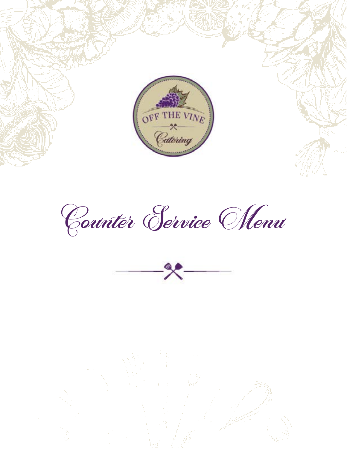



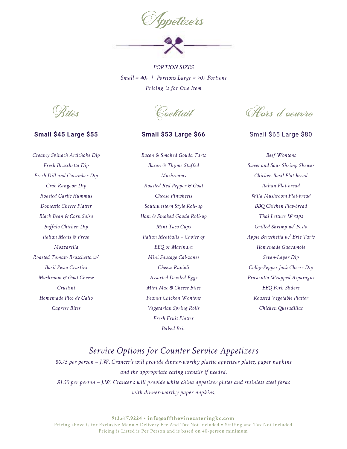

*PORTION SIZES Small = 40+ | Portions Large = 70+ Portions Pricing is for One Item*

Bites

#### **Small \$45 Large \$55**

*Creamy Spinach Artichoke Dip Fresh Bruschetta Dip Fresh Dill and Cucumber Dip Crab Rangoon Dip Roasted Garlic Hummus Domestic Cheese Platter Black Bean & Corn Salsa Buffalo Chicken Dip Italian Meats & Fresh Mozzarella Roasted Tomato Bruschetta w/ Basil Pesto Crustini Mushroom & Goat Cheese Crustini Homemade Pico de Gallo Caprese Bites*

Cocktail

## **Small \$53 Large \$66**

*Bacon & Smoked Gouda Tarts Bacon & Thyme Stuffed Mushrooms Roasted Red Pepper & Goat Cheese Pinwheels Southwestern Style Roll-up Ham & Smoked Gouda Roll-up Mini Taco Cups Italian Meatballs – Choice of BBQ or Marinara Mini Sausage Cal-zones Cheese Ravioli Assorted Deviled Eggs Mini Mac & Cheese Bites Peanut Chicken Wontons Vegetarian Spring Rolls Fresh Fruit Platter Baked Brie*

Hors d'oeuvre

#### Small \$65 Large \$80

*Beef Wontons Sweet and Sour Shrimp Skewer Chicken Basil Flat-bread Italian Flat-bread Wild Mushroom Flat-bread BBQ Chicken Flat-bread Thai Lettuce Wraps Grilled Shrimp w/ Pesto Apple Bruschetta w/ Brie Tarts Homemade Guacamole Seven-Layer Dip Colby-Pepper Jack Cheese Dip Prosciutto Wrapped Asparagus BBQ Pork Sliders Roasted Vegetable Platter Chicken Quesadillas*

# *Service Options for Counter Service Appetizers*

*\$0.75 per person – J.W. Crancer's will provide dinner-worthy plastic appetizer plates, paper napkins and the appropriate eating utensils if needed. \$1.50 per person – J.W. Crancer's will provide white china appetizer plates and stainless steel forks with dinner-worthy paper napkins.*

**913.617.9224 • info@offthevinecateringkc.com** 

Pricing above is for Exclusive Menu **•** Delivery Fee And Tax Not Included **•** Staffing and Tax Not Included Pricing is Listed is Per Person and is based on 40-person minimum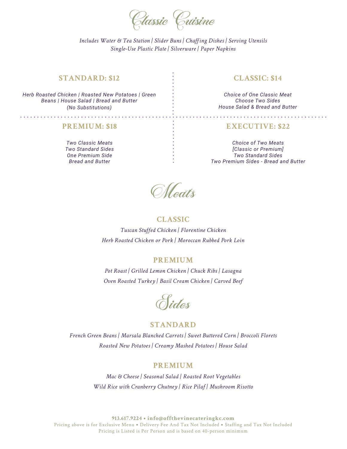

## **STANDARD: \$12**

*Herb Roasted Chicken | Roasted New Potatoes | Green Beans | House Salad | Bread and Butter (No Substitutions)*

#### **PREMIUM: \$18**

*Two Classic Meats Two Standard Sides One Premium Side Bread and Butter*

## **CLASSIC: \$14**

*Choice of One Classic Meat Choose Two Sides House Salad & Bread and Butter*

## **EXECUTIVE: \$22**

*Choice of Two Meats [Classic or Premium] Two Standard Sides Two Premium Sides - Bread and Butter*

*Meats* 

## **CLASSIC**

*Tuscan Stuffed Chicken | Florentine Chicken Herb Roasted Chicken or Pork | Moroccan Rubbed Pork Loin*

#### **PREMIUM**

*Pot Roast | Grilled Lemon Chicken | Chuck Ribs | Lasagna Oven Roasted Turkey | Basil Cream Chicken | Carved Beef*

**Sides** 

## **STANDARD**

*French Green Beans | Marsala Blanched Carrots | Sweet Buttered Corn | Broccoli Florets Roasted New Potatoes | Creamy Mashed Potatoes | House Salad*

#### **PREMIUM**

*Mac & Cheese | Seasonal Salad | Roasted Root Vegetables Wild Rice with Cranberry Chutney | Rice Pilaf | Mushroom Risotto*

**913.617.9224 • info@offthevinecateringkc.com** 

Pricing above is for Exclusive Menu **•** Delivery Fee And Tax Not Included **•** Staffing and Tax Not Included Pricing is Listed is Per Person and is based on 40-person minimum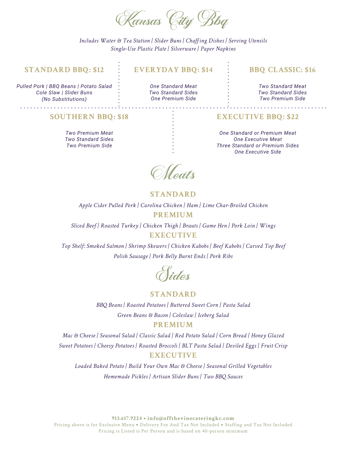

#### **STANDARD BBQ: \$12**

*Pulled Pork | BBQ Beans | Potato Salad Cole Slaw | Slider Buns (No Substitutions)*

## **EVERYDAY BBQ: \$14**

*One Standard Meat Two Standard Sides One Premium Side*

#### **BBQ CLASSIC: \$16**

*Two Standard Meat Two Standard Sides Two Premium Side*

#### **SOUTHERN BBQ: \$18**

*Two Premium Meat Two Standard Sides Two Premium Side*

## **EXECUTIVE BBQ: \$22**

*One Standard or Premium Meat One Executive Meat Three Standard or Premium Sides One Executive Side*

Meats

## **STANDARD**

*Apple Cider Pulled Pork | Carolina Chicken | Ham | Lime Char-Broiled Chicken*

#### **PREMIUM**

*Sliced Beef | Roasted Turkey | Chicken Thigh | Brauts | Game Hen | Pork Loin | Wings* **EXECUTIVE**

*Top Shelf: Smoked Salmon | Shrimp Skewers | Chicken Kabobs | Beef Kabobs | Carved Top Beef Polish Sausage | Pork Belly Burnt Ends | Pork Ribs*



## **STANDARD**

*BBQ Beans | Roasted Potatoes | Buttered Sweet Corn | Pasta Salad Green Beans & Bacon | Coleslaw | Iceberg Salad* **PREMIUM**

*Mac & Cheese | Seasonal Salad | Classic Salad | Red Potato Salad | Corn Bread | Honey Glazed Sweet Potatoes | Cheesy Potatoes | Roasted Broccoli | BLT Pasta Salad | Deviled Eggs | Fruit Crisp* **EXECUTIVE**

*Loaded Baked Potato | Build Your Own Mac & Cheese | Seasonal Grilled Vegetables Homemade Pickles | Artisan Slider Buns | Two BBQ Sauces*

**913.617.9224 • info@offthevinecateringkc.com**  Pricing above is for Exclusive Menu **•** Delivery Fee And Tax Not Included **•** Staffing and Tax Not Included Pricing is Listed is Per Person and is based on 40-person minimum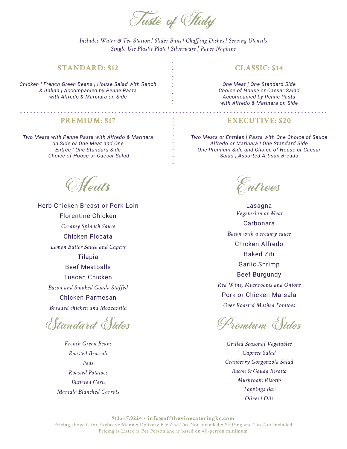

. . . . . . . . . .

#### **STANDARD: \$12**

*Chicken | French Green Beans | House Salad with Ranch & Italian | Accompanied by Penne Pasta with Alfredo & Marinara on Side*

#### **CLASSIC: \$14**

*One Meat | One Standard Side Choice of House or Caesar Salad Accompanied by Penne Pasta with Alfredo & Marinara on Side*

#### **PREMIUM: \$17**

*Two Meats with Penne Pasta with Alfredo & Marinara on Side or One Meat and One Entrée | One Standard Side Choice of House or Caesar Salad*

*Meats* 

Herb Chicken Breast or Pork Loin Florentine Chicken *Creamy Spinach Sauce* Chicken Piccata *Lemon Butter Sauce and Capers* Tilapia Beef Meatballs Tuscan Chicken *Bacon and Smoked Gouda Stuffed* Chicken Parmesan *Breaded chicken and Mozzarella*

Standard Sides

*French Green Beans Roasted Broccoli Peas Roasted Potatoes Buttered Corn Marsala Blanched Carrots*

## **EXECUTIVE: \$20**

*Two Meats or Entrées | Pasta with One Choice of Sauce Alfredo or Marinara | One Standard Side One Premium Side and Choice of House or Caesar Salad | Assorted Artisan Breads*

Entrees

Lasagna *Vegetarian or Meat* Carbonara *Bacon with a creamy sauce* Chicken Alfredo Baked Ziti Garlic Shrimp Beef Burgundy *Red Wine, Mushrooms and Onions* Pork or Chicken Marsala *Over Roasted Mashed Potatoes*

Premium Sides

*Grilled Seasonal Vegetables Caprese Salad Cranberry Gorgonzola Salad Bacon & Gouda Risotto Mushroom Risotto Toppings Bar Olives | Oils*

**913.617.9224 • info@offthevinecateringkc.com**  Pricing above is for Exclusive Menu **•** Delivery Fee And Tax Not Included **•** Staffing and Tax Not Included Pricing is Listed is Per Person and is based on 40-person minimum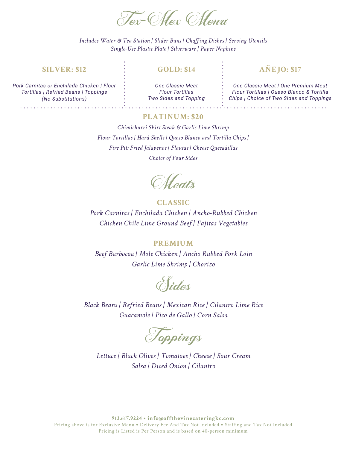

#### **SILVER: \$12**

#### **GOLD: \$14**

**AÑEJO: \$17**

*Pork Carnitas or Enchilada Chicken | Flour Tortillas | Refried Beans | Toppings (No Substitutions)*

*One Classic Meat Flour Tortillas Two Sides and Topping*

*One Classic Meat | One Premium Meat Flour Tortillas | Queso Blanco & Tortilla Chips | Choice of Two Sides and Toppings*

## **PLATINUM: \$20**

*Chimichurri Skirt Steak & Garlic Lime Shrimp Flour Tortillas | Hard Shells | Queso Blanco and Tortilla Chips | Fire Pit: Fried Jalapenos | Flautas | Cheese Quesadillas Choice of Four Sides*

*CMeatts* 

## **CLASSIC**

*Pork Carnitas | Enchilada Chicken | Ancho-Rubbed Chicken Chicken Chile Lime Ground Beef | Fajitas Vegetables*

#### **PREMIUM**

*Beef Barbocoa | Mole Chicken | Ancho Rubbed Pork Loin Garlic Lime Shrimp | Chorizo*

**Sides** 

*Black Beans | Refried Beans | Mexican Rice | Cilantro Lime Rice Guacamole | Pico de Gallo | Corn Salsa*

Toppings

*Lettuce | Black Olives | Tomatoes | Cheese | Sour Cream Salsa | Diced Onion | Cilantro*